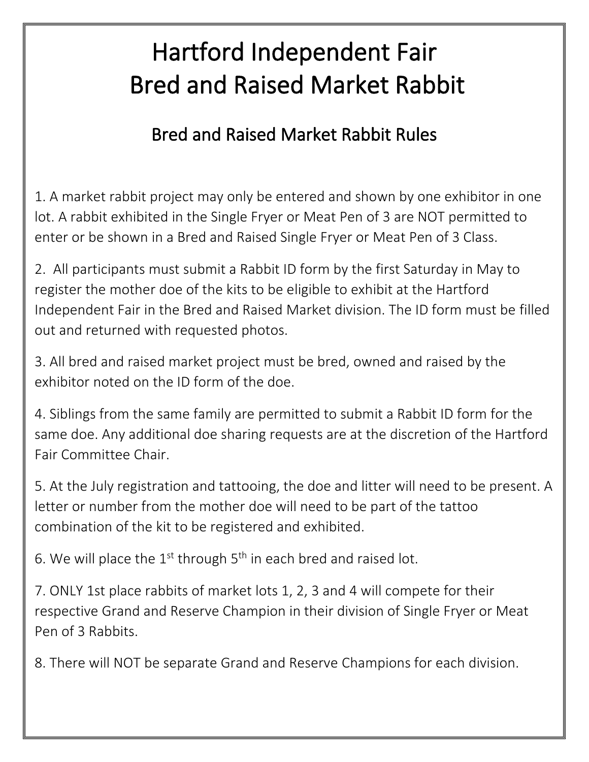## Hartford Independent Fair Bred and Raised Market Rabbit

## Bred and Raised Market Rabbit Rules

1. A market rabbit project may only be entered and shown by one exhibitor in one lot. A rabbit exhibited in the Single Fryer or Meat Pen of 3 are NOT permitted to enter or be shown in a Bred and Raised Single Fryer or Meat Pen of 3 Class.

2. All participants must submit a Rabbit ID form by the first Saturday in May to register the mother doe of the kits to be eligible to exhibit at the Hartford Independent Fair in the Bred and Raised Market division. The ID form must be filled out and returned with requested photos.

3. All bred and raised market project must be bred, owned and raised by the exhibitor noted on the ID form of the doe.

4. Siblings from the same family are permitted to submit a Rabbit ID form for the same doe. Any additional doe sharing requests are at the discretion of the Hartford Fair Committee Chair.

5. At the July registration and tattooing, the doe and litter will need to be present. A letter or number from the mother doe will need to be part of the tattoo combination of the kit to be registered and exhibited.

6. We will place the  $1^{st}$  through  $5^{th}$  in each bred and raised lot.

7. ONLY 1st place rabbits of market lots 1, 2, 3 and 4 will compete for their respective Grand and Reserve Champion in their division of Single Fryer or Meat Pen of 3 Rabbits.

8. There will NOT be separate Grand and Reserve Champions for each division.